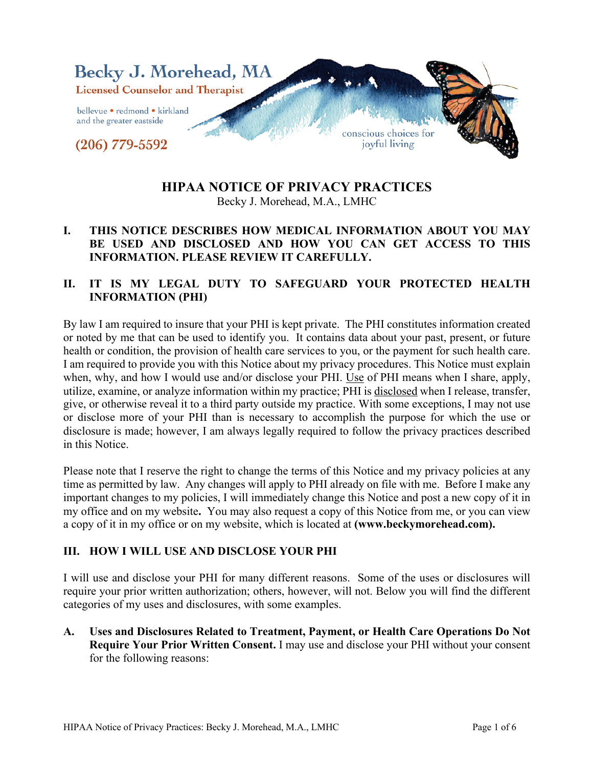

## **HIPAA NOTICE OF PRIVACY PRACTICES**

Becky J. Morehead, M.A., LMHC

#### **I. THIS NOTICE DESCRIBES HOW MEDICAL INFORMATION ABOUT YOU MAY BE USED AND DISCLOSED AND HOW YOU CAN GET ACCESS TO THIS INFORMATION. PLEASE REVIEW IT CAREFULLY.**

## **II. IT IS MY LEGAL DUTY TO SAFEGUARD YOUR PROTECTED HEALTH INFORMATION (PHI)**

By law I am required to insure that your PHI is kept private. The PHI constitutes information created or noted by me that can be used to identify you. It contains data about your past, present, or future health or condition, the provision of health care services to you, or the payment for such health care. I am required to provide you with this Notice about my privacy procedures. This Notice must explain when, why, and how I would use and/or disclose your PHI. Use of PHI means when I share, apply, utilize, examine, or analyze information within my practice; PHI is disclosed when I release, transfer, give, or otherwise reveal it to a third party outside my practice. With some exceptions, I may not use or disclose more of your PHI than is necessary to accomplish the purpose for which the use or disclosure is made; however, I am always legally required to follow the privacy practices described in this Notice.

Please note that I reserve the right to change the terms of this Notice and my privacy policies at any time as permitted by law. Any changes will apply to PHI already on file with me. Before I make any important changes to my policies, I will immediately change this Notice and post a new copy of it in my office and on my website**.** You may also request a copy of this Notice from me, or you can view a copy of it in my office or on my website, which is located at **(www.beckymorehead.com).**

#### **III. HOW I WILL USE AND DISCLOSE YOUR PHI**

I will use and disclose your PHI for many different reasons. Some of the uses or disclosures will require your prior written authorization; others, however, will not. Below you will find the different categories of my uses and disclosures, with some examples.

**A. Uses and Disclosures Related to Treatment, Payment, or Health Care Operations Do Not Require Your Prior Written Consent.** I may use and disclose your PHI without your consent for the following reasons: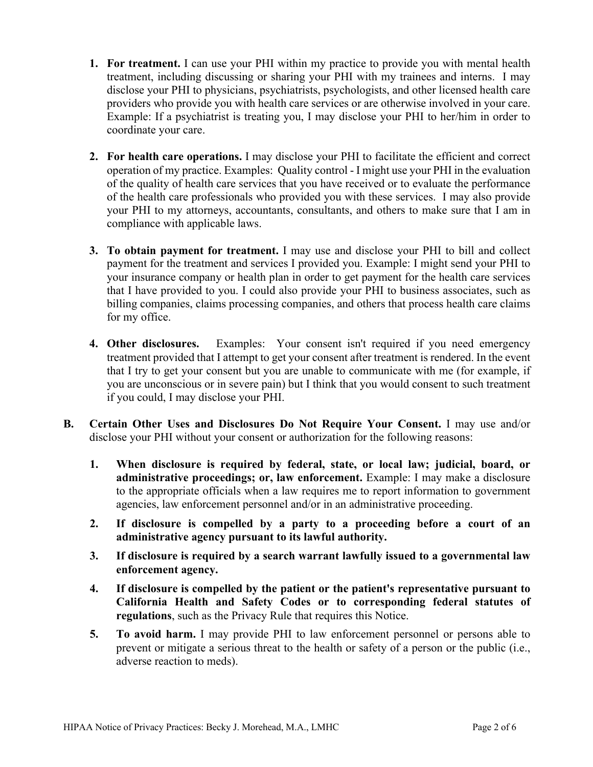- **1. For treatment.** I can use your PHI within my practice to provide you with mental health treatment, including discussing or sharing your PHI with my trainees and interns. I may disclose your PHI to physicians, psychiatrists, psychologists, and other licensed health care providers who provide you with health care services or are otherwise involved in your care. Example: If a psychiatrist is treating you, I may disclose your PHI to her/him in order to coordinate your care.
- **2. For health care operations.** I may disclose your PHI to facilitate the efficient and correct operation of my practice. Examples: Quality control - I might use your PHI in the evaluation of the quality of health care services that you have received or to evaluate the performance of the health care professionals who provided you with these services. I may also provide your PHI to my attorneys, accountants, consultants, and others to make sure that I am in compliance with applicable laws.
- **3. To obtain payment for treatment.** I may use and disclose your PHI to bill and collect payment for the treatment and services I provided you. Example: I might send your PHI to your insurance company or health plan in order to get payment for the health care services that I have provided to you. I could also provide your PHI to business associates, such as billing companies, claims processing companies, and others that process health care claims for my office.
- **4. Other disclosures.** Examples:Your consent isn't required if you need emergency treatment provided that I attempt to get your consent after treatment is rendered. In the event that I try to get your consent but you are unable to communicate with me (for example, if you are unconscious or in severe pain) but I think that you would consent to such treatment if you could, I may disclose your PHI.
- **B. Certain Other Uses and Disclosures Do Not Require Your Consent.** I may use and/or disclose your PHI without your consent or authorization for the following reasons:
	- **1. When disclosure is required by federal, state, or local law; judicial, board, or administrative proceedings; or, law enforcement.** Example: I may make a disclosure to the appropriate officials when a law requires me to report information to government agencies, law enforcement personnel and/or in an administrative proceeding.
	- **2. If disclosure is compelled by a party to a proceeding before a court of an administrative agency pursuant to its lawful authority.**
	- **3. If disclosure is required by a search warrant lawfully issued to a governmental law enforcement agency.**
	- **4. If disclosure is compelled by the patient or the patient's representative pursuant to California Health and Safety Codes or to corresponding federal statutes of regulations**, such as the Privacy Rule that requires this Notice.
	- **5. To avoid harm.** I may provide PHI to law enforcement personnel or persons able to prevent or mitigate a serious threat to the health or safety of a person or the public (i.e., adverse reaction to meds).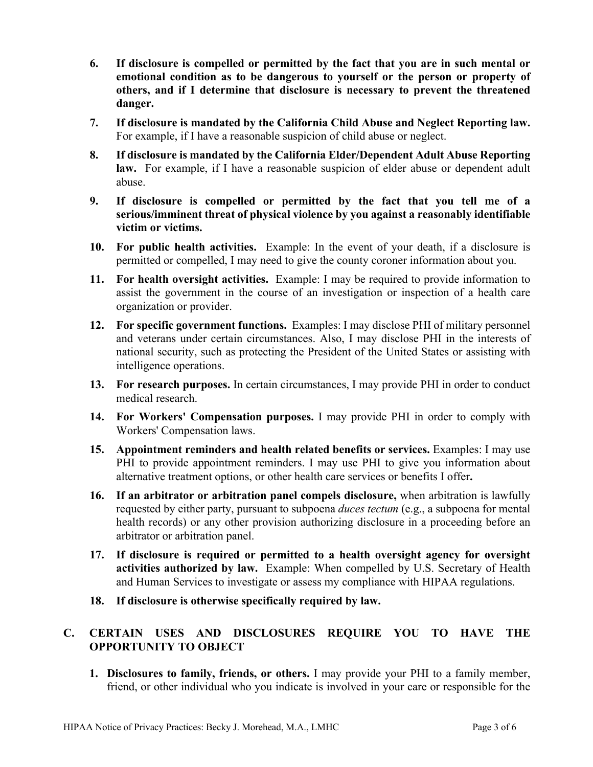- **6. If disclosure is compelled or permitted by the fact that you are in such mental or emotional condition as to be dangerous to yourself or the person or property of others, and if I determine that disclosure is necessary to prevent the threatened danger.**
- **7. If disclosure is mandated by the California Child Abuse and Neglect Reporting law.** For example, if I have a reasonable suspicion of child abuse or neglect.
- **8. If disclosure is mandated by the California Elder/Dependent Adult Abuse Reporting law.** For example, if I have a reasonable suspicion of elder abuse or dependent adult abuse.
- **9. If disclosure is compelled or permitted by the fact that you tell me of a serious/imminent threat of physical violence by you against a reasonably identifiable victim or victims.**
- **10. For public health activities.** Example: In the event of your death, if a disclosure is permitted or compelled, I may need to give the county coroner information about you.
- **11. For health oversight activities.** Example: I may be required to provide information to assist the government in the course of an investigation or inspection of a health care organization or provider.
- **12. For specific government functions.** Examples: I may disclose PHI of military personnel and veterans under certain circumstances. Also, I may disclose PHI in the interests of national security, such as protecting the President of the United States or assisting with intelligence operations.
- **13. For research purposes.** In certain circumstances, I may provide PHI in order to conduct medical research.
- **14. For Workers' Compensation purposes.** I may provide PHI in order to comply with Workers' Compensation laws.
- **15. Appointment reminders and health related benefits or services.** Examples: I may use PHI to provide appointment reminders. I may use PHI to give you information about alternative treatment options, or other health care services or benefits I offer**.**
- **16. If an arbitrator or arbitration panel compels disclosure,** when arbitration is lawfully requested by either party, pursuant to subpoena *duces tectum* (e.g., a subpoena for mental health records) or any other provision authorizing disclosure in a proceeding before an arbitrator or arbitration panel.
- **17. If disclosure is required or permitted to a health oversight agency for oversight activities authorized by law.** Example: When compelled by U.S. Secretary of Health and Human Services to investigate or assess my compliance with HIPAA regulations.
- **18. If disclosure is otherwise specifically required by law.**

## **C. CERTAIN USES AND DISCLOSURES REQUIRE YOU TO HAVE THE OPPORTUNITY TO OBJECT**

**1. Disclosures to family, friends, or others.** I may provide your PHI to a family member, friend, or other individual who you indicate is involved in your care or responsible for the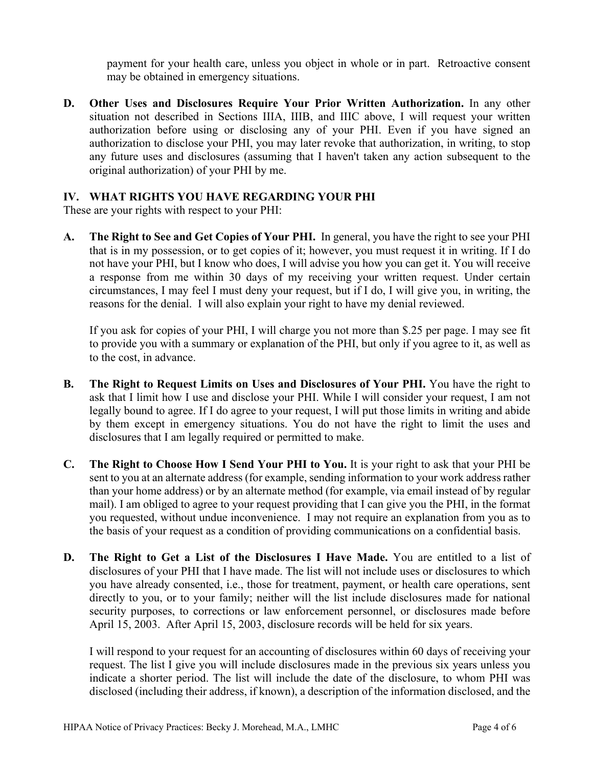payment for your health care, unless you object in whole or in part. Retroactive consent may be obtained in emergency situations.

**D. Other Uses and Disclosures Require Your Prior Written Authorization.** In any other situation not described in Sections IIIA, IIIB, and IIIC above, I will request your written authorization before using or disclosing any of your PHI. Even if you have signed an authorization to disclose your PHI, you may later revoke that authorization, in writing, to stop any future uses and disclosures (assuming that I haven't taken any action subsequent to the original authorization) of your PHI by me.

#### **IV. WHAT RIGHTS YOU HAVE REGARDING YOUR PHI**

These are your rights with respect to your PHI:

**A. The Right to See and Get Copies of Your PHI.** In general, you have the right to see your PHI that is in my possession, or to get copies of it; however, you must request it in writing. If I do not have your PHI, but I know who does, I will advise you how you can get it. You will receive a response from me within 30 days of my receiving your written request. Under certain circumstances, I may feel I must deny your request, but if I do, I will give you, in writing, the reasons for the denial. I will also explain your right to have my denial reviewed.

If you ask for copies of your PHI, I will charge you not more than \$.25 per page. I may see fit to provide you with a summary or explanation of the PHI, but only if you agree to it, as well as to the cost, in advance.

- **B. The Right to Request Limits on Uses and Disclosures of Your PHI.** You have the right to ask that I limit how I use and disclose your PHI. While I will consider your request, I am not legally bound to agree. If I do agree to your request, I will put those limits in writing and abide by them except in emergency situations. You do not have the right to limit the uses and disclosures that I am legally required or permitted to make.
- **C. The Right to Choose How I Send Your PHI to You.** It is your right to ask that your PHI be sent to you at an alternate address (for example, sending information to your work address rather than your home address) or by an alternate method (for example, via email instead of by regular mail). I am obliged to agree to your request providing that I can give you the PHI, in the format you requested, without undue inconvenience. I may not require an explanation from you as to the basis of your request as a condition of providing communications on a confidential basis.
- **D. The Right to Get a List of the Disclosures I Have Made.** You are entitled to a list of disclosures of your PHI that I have made. The list will not include uses or disclosures to which you have already consented, i.e., those for treatment, payment, or health care operations, sent directly to you, or to your family; neither will the list include disclosures made for national security purposes, to corrections or law enforcement personnel, or disclosures made before April 15, 2003. After April 15, 2003, disclosure records will be held for six years.

I will respond to your request for an accounting of disclosures within 60 days of receiving your request. The list I give you will include disclosures made in the previous six years unless you indicate a shorter period. The list will include the date of the disclosure, to whom PHI was disclosed (including their address, if known), a description of the information disclosed, and the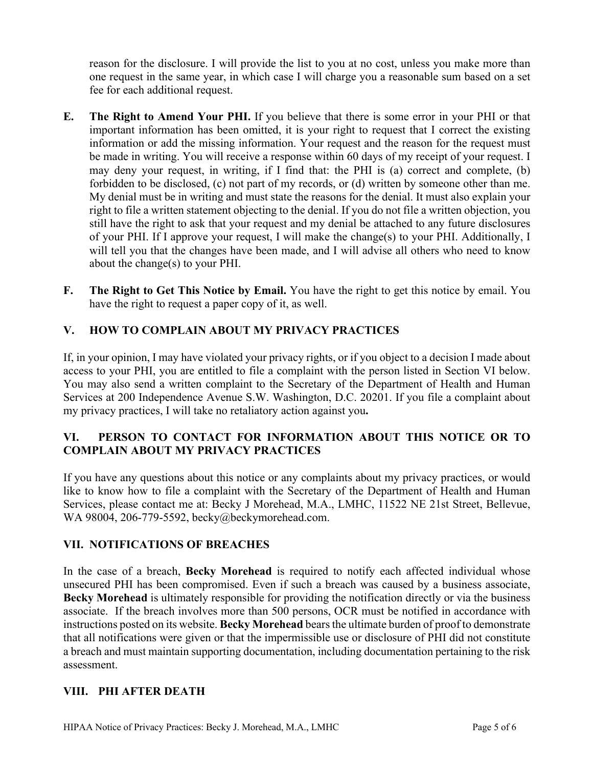reason for the disclosure. I will provide the list to you at no cost, unless you make more than one request in the same year, in which case I will charge you a reasonable sum based on a set fee for each additional request.

- **E. The Right to Amend Your PHI.** If you believe that there is some error in your PHI or that important information has been omitted, it is your right to request that I correct the existing information or add the missing information. Your request and the reason for the request must be made in writing. You will receive a response within 60 days of my receipt of your request. I may deny your request, in writing, if I find that: the PHI is (a) correct and complete, (b) forbidden to be disclosed, (c) not part of my records, or (d) written by someone other than me. My denial must be in writing and must state the reasons for the denial. It must also explain your right to file a written statement objecting to the denial. If you do not file a written objection, you still have the right to ask that your request and my denial be attached to any future disclosures of your PHI. If I approve your request, I will make the change(s) to your PHI. Additionally, I will tell you that the changes have been made, and I will advise all others who need to know about the change(s) to your PHI.
- **F. The Right to Get This Notice by Email.** You have the right to get this notice by email. You have the right to request a paper copy of it, as well.

## **V. HOW TO COMPLAIN ABOUT MY PRIVACY PRACTICES**

If, in your opinion, I may have violated your privacy rights, or if you object to a decision I made about access to your PHI, you are entitled to file a complaint with the person listed in Section VI below. You may also send a written complaint to the Secretary of the Department of Health and Human Services at 200 Independence Avenue S.W. Washington, D.C. 20201. If you file a complaint about my privacy practices, I will take no retaliatory action against you**.**

## **VI. PERSON TO CONTACT FOR INFORMATION ABOUT THIS NOTICE OR TO COMPLAIN ABOUT MY PRIVACY PRACTICES**

If you have any questions about this notice or any complaints about my privacy practices, or would like to know how to file a complaint with the Secretary of the Department of Health and Human Services, please contact me at: Becky J Morehead, M.A., LMHC, 11522 NE 21st Street, Bellevue, WA 98004, 206-779-5592, becky@beckymorehead.com.

#### **VII. NOTIFICATIONS OF BREACHES**

In the case of a breach, **Becky Morehead** is required to notify each affected individual whose unsecured PHI has been compromised. Even if such a breach was caused by a business associate, **Becky Morehead** is ultimately responsible for providing the notification directly or via the business associate. If the breach involves more than 500 persons, OCR must be notified in accordance with instructions posted on its website. **Becky Morehead** bears the ultimate burden of proof to demonstrate that all notifications were given or that the impermissible use or disclosure of PHI did not constitute a breach and must maintain supporting documentation, including documentation pertaining to the risk assessment.

#### **VIII. PHI AFTER DEATH**